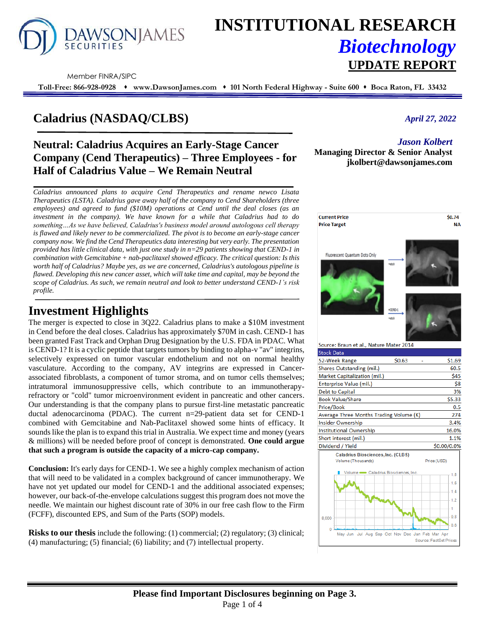

# **INSTITUTIONAL RESEARCH** *Biotechnology* **UPDATE REPORT**

Member FINRA/SIPC

**Toll-Free: 866-928-0928** ⬧ **www.DawsonJames.com** ⬧ **101 North Federal Highway - Suite 600** ⬧ **Boca Raton, FL 33432**

# **Caladrius (NASDAQ/CLBS)**

# **Neutral: Caladrius Acquires an Early-Stage Cancer Company (Cend Therapeutics) – Three Employees - for Half of Caladrius Value – We Remain Neutral**

*Caladrius announced plans to acquire Cend Therapeutics and rename newco Lisata Therapeutics (LSTA). Caladrius gave away half of the company to Cend Shareholders (three employees) and agreed to fund (\$10M) operations at Cend until the deal closes (as an investment in the company). We have known for a while that Caladrius had to do something…As we have believed, Caladrius's business model around autologous cell therapy is flawed and likely never to be commercialized. The pivot is to become an early-stage cancer company now. We find the Cend Therapeutics data interesting but very early. The presentation provided has little clinical data, with just one study in n=29 patients showing that CEND-1 in combination with Gemcitabine + nab-paclitaxel showed efficacy. The critical question: Is this worth half of Caladrius? Maybe yes, as we are concerned, Caladrius's autologous pipeline is flawed. Developing this new cancer asset, which will take time and capital, may be beyond the scope of Caladrius. As such, we remain neutral and look to better understand CEND-1's risk profile.* 

# **Investment Highlights**

The merger is expected to close in 3Q22. Caladrius plans to make a \$10M investment in Cend before the deal closes. Caladrius has approximately \$70M in cash. CEND-1 has been granted Fast Track and Orphan Drug Designation by the U.S. FDA in PDAC. What is CEND-1? It is a cyclic peptide that targets tumors by binding to alpha-v "av" integrins, selectively expressed on tumor vascular endothelium and not on normal healthy vasculature. According to the company, AV integrins are expressed in Cancerassociated fibroblasts, a component of tumor stroma, and on tumor cells themselves; intratumoral immunosuppressive cells, which contribute to an immunotherapyrefractory or "cold" tumor microenvironment evident in pancreatic and other cancers. Our understanding is that the company plans to pursue first-line metastatic pancreatic ductal adenocarcinoma (PDAC). The current n=29-patient data set for CEND-1 combined with Gemcitabine and Nab-Paclitaxel showed some hints of efficacy. It sounds like the plan is to expand this trial in Australia. We expect time and money (years & millions) will be needed before proof of concept is demonstrated. **One could argue that such a program is outside the capacity of a micro-cap company.** 

**Conclusion:** It's early days for CEND-1. We see a highly complex mechanism of action that will need to be validated in a complex background of cancer immunotherapy. We have not yet updated our model for CEND-1 and the additional associated expenses; however, our back-of-the-envelope calculations suggest this program does not move the needle. We maintain our highest discount rate of 30% in our free cash flow to the Firm (FCFF), discounted EPS, and Sum of the Parts (SOP) models.

**Risks to our thesis** include the following: (1) commercial; (2) regulatory; (3) clinical; (4) manufacturing; (5) financial; (6) liability; and (7) intellectual property.

## *April 27, 2022*

## *Jason Kolbert*

**Managing Director & Senior Analyst jkolbert@dawsonjames.com**

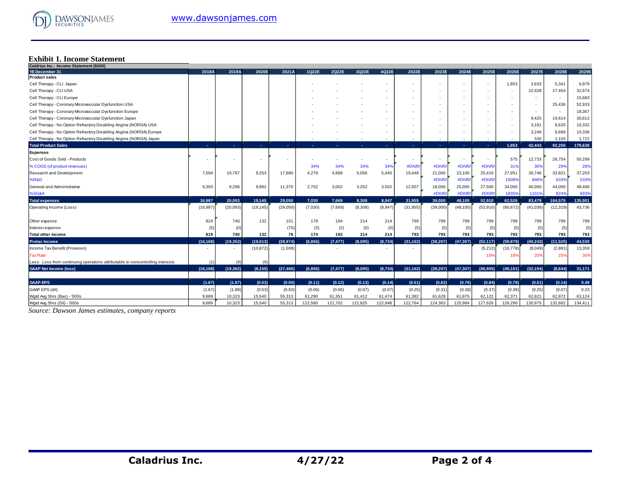

## **Exhibit 1. Income Statement**

| Caldrius Inc.: Income Statement (\$000)                                        |           |           |                |                |          |          |         |         |           |                          |           |           |                          |           |                          |         |
|--------------------------------------------------------------------------------|-----------|-----------|----------------|----------------|----------|----------|---------|---------|-----------|--------------------------|-----------|-----------|--------------------------|-----------|--------------------------|---------|
| <b>YE December 31</b>                                                          | 2018A     | 2019A     | 2020E          | 2021A          | 1Q22E    | 2022E    | 3Q22E   | 4Q22E   | 2022E     | 2023E                    | 2024E     | 2025E     | 2026E                    | 2027E     | 2028E                    | 2029E   |
| <b>Product sales</b>                                                           |           |           |                |                |          |          |         |         |           |                          |           |           |                          |           |                          |         |
| Cell Therapy - CLI Japan                                                       |           |           |                |                |          |          |         |         |           | $\overline{\phantom{a}}$ |           |           | 1,853                    | 3,633     | 5,341                    | 6,979   |
| Cell Therapy - CLI USA                                                         |           |           |                |                |          |          |         |         |           |                          |           |           |                          | 22,428    | 27,454                   | 32,674  |
| Cell Therapy - CLI Europe                                                      |           |           |                |                |          |          |         |         |           | . .                      |           |           |                          |           | $\overline{\phantom{a}}$ | 15,683  |
| Cell Therapy - Coronary Microvascular Dysfunction USA                          |           |           |                |                |          |          |         |         |           | $\sim$                   |           |           |                          |           | 25,436                   | 52,933  |
| Cell Therapy - Coronary Microvascular Dysfunction Europe                       |           |           |                |                |          |          |         |         |           | $\sim$                   |           |           | $\overline{\phantom{a}}$ | ۰.        | $\sim$                   | 18,367  |
| Cell Therapy - Coronary Microvascular Dysfunction Japan                        |           |           |                |                |          |          |         |         |           |                          |           |           |                          | 9,425     | 19,614                   | 30,612  |
| Cell Therapy - No Option Refractory Disabling Angina (NORDA) USA               |           |           |                |                |          |          |         |         | ۰         | $\overline{\phantom{a}}$ |           |           | $\sim$                   | 3,181     | 6,620                    | 10,332  |
| Cell Therapy - No Option Refractory Disabling Angina (NORDA) Europe            |           |           |                |                |          |          |         |         |           | $\overline{\phantom{a}}$ |           |           |                          | 3,246     | 6,689                    | 10,336  |
| Cell Therapy - No Option Refractory Disabling Angina (NORDA) Japan             |           |           |                |                |          |          |         | ٠       |           | $\sim$                   | ٠         |           |                          | 530       | 1,103                    | 1,722   |
| <b>Total Product Sales</b>                                                     | a.        | A.        | <b>Section</b> | <b>College</b> |          |          |         | ×.      | ×.        | х.                       | ×.        |           | 1.853                    | 42.443    | 92,256                   | 179,638 |
| <b>Expenses</b>                                                                |           |           |                |                |          |          |         |         |           |                          |           |           |                          |           |                          |         |
| Cost of Goods Sold - Products                                                  |           |           |                |                |          |          | ٠       | ٠       |           | $\sim$                   |           | ٠         | 575                      | 12,733    | 26,754                   | 50,299  |
| % COGS (of product revenues)                                                   |           |           |                |                | 34%      | 34%      | 34%     | 34%     | #DIV/0    | #DIV/0                   | #DIV/C    | #DIV/0    | 31%                      | 30%       | 29%                      | 28%     |
| Research and Development                                                       | 7.594     | 10,797    | 9.253          | 17,680         | 4,279    | 4,668    | 5,056   | 5.445   | 19,448    | 21,000                   | 23,100    | 25.410    | 27,951                   | 30.746    | 33,821                   | 37,203  |
| <b>%R&amp;D</b>                                                                |           |           |                |                |          |          |         |         |           | #DIV/0!                  | #DIV/0    | #DIV/0    | 15089                    | 846%      | 633%                     | 533%    |
| General and Administrative                                                     | 9,393     | 9,296     | 9,892          | 11,370         | 2,752    | 3,002    | 3,252   | 3,502   | 12,507    | 18,000                   | 25,000    | 27,500    | 34,000                   | 40,000    | 44,000                   | 48,400  |
| %SG&A                                                                          |           |           |                |                |          |          |         |         |           | #DIV/0                   | #DIV/C    | #DIV/0    | 18359                    | 11019     | 824%                     | 693%    |
| <b>Total expenses</b>                                                          | 16.987    | 20.093    | 19.145         | 29.050         | 7.030    | 7.669    | 8.308   | 8.947   | 31.955    | 39,000                   | 48,100    | 52.910    | 62.526                   | 83.479    | 104,575                  | 135,901 |
| Operating Income (Loss)                                                        | (16, 987) | (20, 093) | (19, 145)      | (29,050)       | (7,030)  | (7,669)  | (8,308) | (8,947) | (31, 955) | (39,000)                 | (48, 100) | (52, 910) | (60, 672)                | (41, 036) | (12, 319)                | 43,736  |
|                                                                                |           |           |                |                |          |          |         |         |           |                          |           |           |                          |           |                          |         |
| Other expense                                                                  | 824       | 740       | 132            | 151            | 178      | 194      | 214     | 214     | 799       | 799                      | 799       | 799       | 799                      | 799       | 799                      | 799     |
| Interest expense                                                               | (5        | (0)       |                | (75)           | (3)      | (2)      | (0)     | (0)     | (5)       | (5)                      | (5)       | (5)       | (5)                      | (5)       | (5)                      | (5)     |
| Total other income                                                             | 819       | 740       | 132            | 76             | 174      | 192      | 214     | 214     | 793       | 793                      | 793       | 793       | 793                      | 793       | 793                      | 793     |
| <b>Pretax Income</b>                                                           | (16, 168) | (19, 353) | (19,013)       | (28, 974)      | (6, 856) | (7, 477) | (8,095) | (8,734) | (31, 162) | (38, 207)                | (47, 307) | (52, 117) | (59, 879)                | (40, 243) | (11, 525)                | 44,530  |
| Income Tax Benefit (Provision)                                                 |           |           | (10, 872)      | (1,508)        |          |          |         |         |           |                          |           | (5,212)   | (10, 778)                | (8,049)   | (2,881)                  | 13,359  |
| <b>Tax Rate</b>                                                                |           |           |                |                |          |          |         |         |           |                          |           | 10%       | 18%                      | 20%       | 25%                      | 30%     |
| Less: Loss from continuing operations attributable to noncontrolling interests |           | (9)       | (9)            |                |          |          |         |         |           |                          |           |           |                          |           |                          |         |
| <b>GAAP Net Income (loss)</b>                                                  | (16, 168) | (19.362)  | (8, 150)       | (27, 466)      | (6,856)  | (7, 477) | (8,095) | (8,734) | (31, 162) | (38.207)                 | (47, 307) | (46, 905) | (49, 101)                | (32.194)  | (8,644)                  | 31,171  |
|                                                                                |           |           |                |                |          |          |         |         |           |                          |           |           |                          |           |                          |         |
| <b>GAAP-EPS</b>                                                                | (1.67)    | (1.87)    | (0.53)         | (0.50)         | (0.11)   | (0.12)   | (0.13)  | (0.14)  | (0.51)    | (0.62)                   | (0.76)    | (0.84)    | (0.79)                   | (0.51)    | (0.14)                   | 0.49    |
| GAAP EPS (dil)                                                                 | (1.67)    | (1.88)    | (0.53)         | (0.50)         | (0.06)   | (0.06)   | (0.07)  | (0.07)  | (0.25)    | (0.31)                   | (0.38)    | (0.37)    | (0.38)                   | (0.25)    | (0.07)                   | 0.23    |
| Wgtd Avg Shrs (Bas) - '000s                                                    | 9,689     | 10.323    | 15,540         | 55,313         | 61,290   | 61,351   | 61,412  | 61,474  | 61,382    | 61,628                   | 61,875    | 62,122    | 62,371                   | 62.621    | 62,872                   | 63,124  |
| Wgtd Avg Shrs (Dil) - '000s                                                    | 9.689     | 10.323    | 15.540         | 55,313         | 122,580  | 122,702  | 122,825 | 122,948 | 122.764   | 124.363                  | 125.984   | 127.626   | 129,290                  | 130.975   | 132,682                  | 134,411 |

*Source: Dawson James estimates, company reports*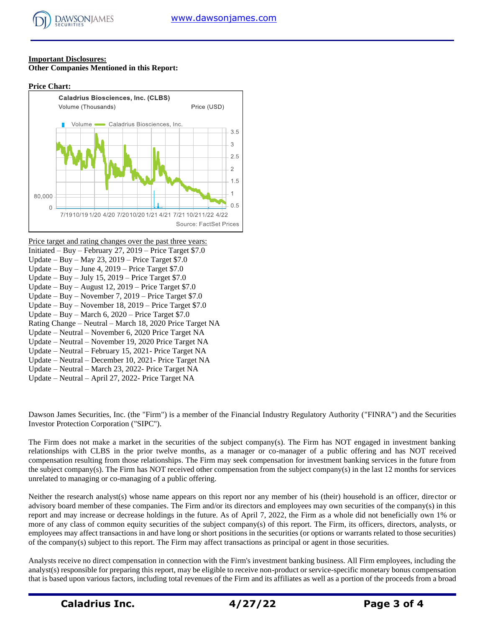#### **Important Disclosures: Other Companies Mentioned in this Report:**

#### **Price Chart:**



Price target and rating changes over the past three years: Initiated – Buy – February 27, 2019 – Price Target \$7.0 Update – Buy – May 23, 2019 – Price Target \$7.0 Update – Buy – June 4, 2019 – Price Target \$7.0 Update – Buy – July 15, 2019 – Price Target  $$7.0$ Update – Buy – August 12, 2019 – Price Target \$7.0 Update – Buy – November 7, 2019 – Price Target \$7.0 Update – Buy – November 18, 2019 – Price Target \$7.0 Update – Buy – March 6, 2020 – Price Target \$7.0 Rating Change – Neutral – March 18, 2020 Price Target NA Update – Neutral – November 6, 2020 Price Target NA Update – Neutral – November 19, 2020 Price Target NA Update – Neutral – February 15, 2021- Price Target NA Update – Neutral – December 10, 2021- Price Target NA Update – Neutral – March 23, 2022- Price Target NA Update – Neutral – April 27, 2022- Price Target NA

Dawson James Securities, Inc. (the "Firm") is a member of the Financial Industry Regulatory Authority ("FINRA") and the Securities Investor Protection Corporation ("SIPC").

The Firm does not make a market in the securities of the subject company(s). The Firm has NOT engaged in investment banking relationships with CLBS in the prior twelve months, as a manager or co-manager of a public offering and has NOT received compensation resulting from those relationships. The Firm may seek compensation for investment banking services in the future from the subject company(s). The Firm has NOT received other compensation from the subject company(s) in the last 12 months for services unrelated to managing or co-managing of a public offering.

Neither the research analyst(s) whose name appears on this report nor any member of his (their) household is an officer, director or advisory board member of these companies. The Firm and/or its directors and employees may own securities of the company(s) in this report and may increase or decrease holdings in the future. As of April 7, 2022, the Firm as a whole did not beneficially own 1% or more of any class of common equity securities of the subject company(s) of this report. The Firm, its officers, directors, analysts, or employees may affect transactions in and have long or short positions in the securities (or options or warrants related to those securities) of the company(s) subject to this report. The Firm may affect transactions as principal or agent in those securities.

Analysts receive no direct compensation in connection with the Firm's investment banking business. All Firm employees, including the analyst(s) responsible for preparing this report, may be eligible to receive non-product or service-specific monetary bonus compensation that is based upon various factors, including total revenues of the Firm and its affiliates as well as a portion of the proceeds from a broad